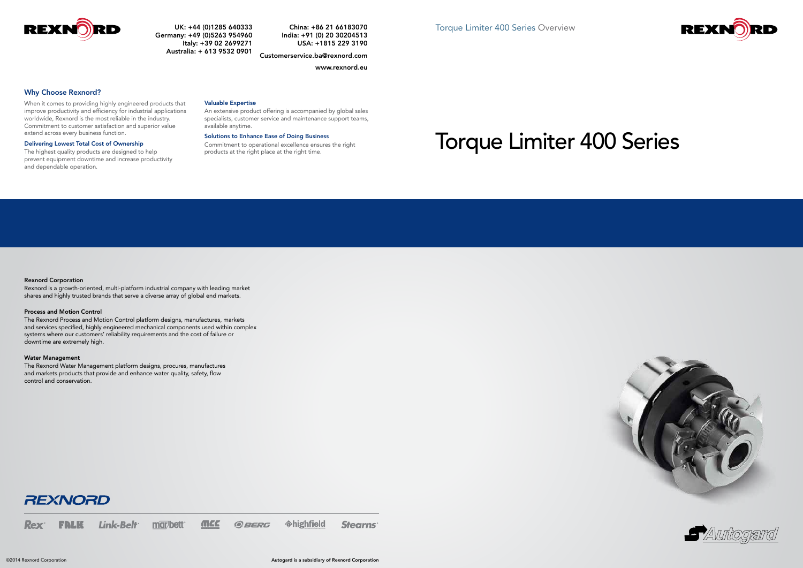## Rexnord Corporation

Rexnord is a growth-oriented, multi-platform industrial company with leading market shares and highly trusted brands that serve a diverse array of global end markets.

### Process and Motion Control

The Rexnord Process and Motion Control platform designs, manufactures, markets and services specified, highly engineered mechanical components used within complex systems where our customers' reliability requirements and the cost of failure or downtime are extremely high.

## Water Management

The Rexnord Water Management platform designs, procures, manufactures and markets products that provide and enhance water quality, safety, flow control and conservation.



*<u>*chighfield</u> **MCC** FRLK Link-Belt marbett *GBERG* **Stearns Rex** 

Why Choose Rexnord?

When it comes to providing highly engineered products that improve productivity and efficiency for industrial applications worldwide, Rexnord is the most reliable in the industry. Commitment to customer satisfaction and superior value extend across every business function.

## Delivering Lowest Total Cost of Ownership

The highest quality products are designed to help prevent equipment downtime and increase productivity and dependable operation.

## Valuable Expertise

An extensive product offering is accompanied by global sales specialists, customer service and maintenance support teams, available anytime.

## Solutions to Enhance Ease of Doing Business

Commitment to operational excellence ensures the right products at the right place at the right time.









UK: +44 (0)1285 640333 Germany: +49 (0)5263 954960 Italy: +39 02 2699271 Australia: + 613 9532 0901

China: +86 21 66183070 India: +91 (0) 20 30204513 USA: +1815 229 3190

Customerservice.ba@rexnord.com

### www.rexnord.eu

# Torque Limiter 400 Series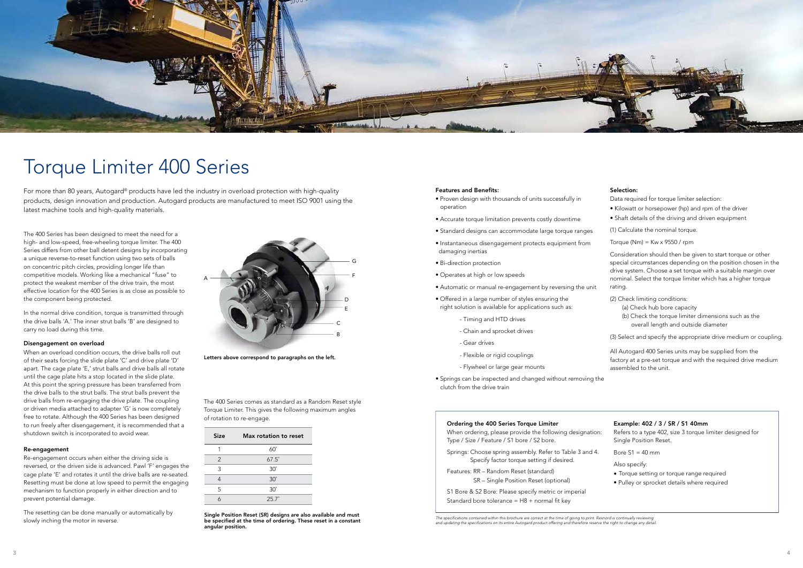

# Torque Limiter 400 Series

For more than 80 years, Autogard® products have led the industry in overload protection with high-quality products, design innovation and production. Autogard products are manufactured to meet ISO 9001 using the latest machine tools and high-quality materials.

The 400 Series has been designed to meet the need for a high- and low-speed, free-wheeling torque limiter. The 400 Series differs from other ball detent designs by incorporating a unique reverse-to-reset function using two sets of balls on concentric pitch circles, providing longer life than competitive models. Working like a mechanical "fuse" to protect the weakest member of the drive train, the most effective location for the 400 Series is as close as possible to the component being protected.

In the normal drive condition, torque is transmitted through the drive balls 'A.' The inner strut balls 'B' are designed to carry no load during this time.

### Disengagement on overload

When an overload condition occurs, the drive balls roll out of their seats forcing the slide plate 'C' and drive plate 'D' apart. The cage plate 'E,' strut balls and drive balls all rotate until the cage plate hits a stop located in the slide plate. At this point the spring pressure has been transferred from the drive balls to the strut balls. The strut balls prevent the drive balls from re-engaging the drive plate. The coupling or driven media attached to adapter 'G' is now completely free to rotate. Although the 400 Series has been designed to run freely after disengagement, it is recommended that a shutdown switch is incorporated to avoid wear.

## Re-engagement

Re-engagement occurs when either the driving side is reversed, or the driven side is advanced. Pawl 'F' engages the cage plate 'E' and rotates it until the drive balls are re-seated. Resetting must be done at low speed to permit the engaging mechanism to function properly in either direction and to prevent potential damage.

The resetting can be done manually or automatically by slowly inching the motor in reverse.

Single Position Reset (SR) designs are also available and must be specified at the time of ordering. These reset in a constant angular position.

- Springs: Choose spring assembly. Refer to Table 3 and 4. Specify factor torque setting if desired.
- Features: RR Random Reset (standard) SR – Single Position Reset (optional)
- S1 Bore & S2 Bore: Please specify metric or imperial Standard bore tolerance =  $H8 +$  normal fit key

The specifications contained within this brochure are correct at the time of going to print. Rexnord is continually reviewing<br>and updating the specifications on its entire Autogard product offering and therefore reserve th

### Features and Benefits:

- Proven design with thousands of units successfully in operation
- Accurate torque limitation prevents costly downtime
- Standard designs can accommodate large torque ranges
- Instantaneous disengagement protects equipment from damaging inertias
- Bi-direction protection
- Operates at high or low speeds
- Automatic or manual re-engagement by reversing the unit
- Offered in a large number of styles ensuring the right solution is available for applications such as:
	- Timing and HTD drives
	- Chain and sprocket drives
	- Gear drives
	- Flexible or rigid couplings
	- Flywheel or large gear mounts
- Springs can be inspected and changed without removing the clutch from the drive train

## Selection:

Data required for torque limiter selection:

- Kilowatt or horsepower (hp) and rpm of the driver
- Shaft details of the driving and driven equipment

(1) Calculate the nominal torque.

Torque (Nm) =  $Kw \times 9550 / rpm$ 

Consideration should then be given to start torque or other special circumstances depending on the position chosen in the drive system. Choose a set torque with a suitable margin over nominal. Select the torque limiter which has a higher torque rating.

(2) Check limiting conditions:

- (a) Check hub bore capacity
- (b) Check the torque limiter dimensions such as the overall length and outside diameter

(3) Select and specify the appropriate drive medium or coupling.

All Autogard 400 Series units may be supplied from the factory at a pre-set torque and with the required drive medium assembled to the unit.

## Example: 402 / 3 / SR / S1 40mm

Refers to a type 402, size 3 torque limiter designed for Single Position Reset.

Bore  $S1 = 40$  mm

Also specify:

- Torque setting or torque range required
- Pulley or sprocket details where required

## Ordering the 400 Series Torque Limiter

When ordering, please provide the following designation: Type / Size / Feature / S1 bore / S2 bore.

The 400 Series comes as standard as a Random Reset style Torque Limiter. This gives the following maximum angles of rotation to re-engage.



Letters above correspond to paragraphs on the left.

| <b>Size</b>   | Max rotation to reset |
|---------------|-----------------------|
| 1             | $60^\circ$            |
| $\mathcal{P}$ | $67.5^\circ$          |
| 3             | $30^\circ$            |
|               | $30^\circ$            |
| 5             | $30^\circ$            |
|               | $25.7^{\circ}$        |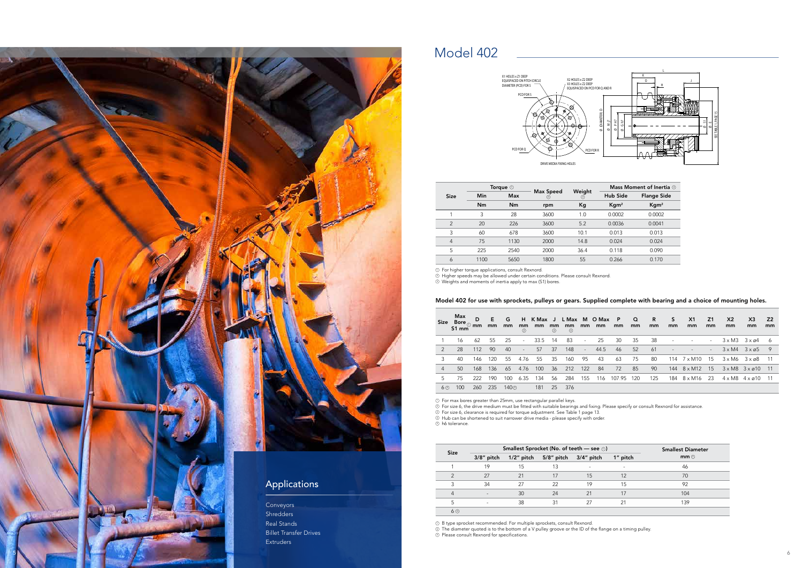## Model 402

## Model 402 for use with sprockets, pulleys or gears. Supplied complete with bearing and a choice of mounting holes.

Higher speeds may be allowed under certain conditions. Please consult Rexnord. Weights and moments of inertia apply to max (S1) bores. 123 123



For size 6, the drive medium must be fitted with suitable bearings and fixing. Please specify or consult Rexnord for assistance. For size 6, clearance is required for torque adjustment. See Table 1 page 13. 12344

| <b>Size</b> | Max<br>Bore $_\odot$ mm<br>$51 \text{ mm}$ | D   | E.<br>mm | G<br>mm          | H<br>mm<br>⊘ | K Max J<br>mm | mm<br>⊙ | mm<br>$\circ$ | mm     | L Max M O Max<br>mm | $\mathsf{P}$<br>mm | $\Omega$<br>mm | R<br>mm | S<br>mm | X <sub>1</sub><br>mm     | Z <sub>1</sub><br>mm     | X <sub>2</sub><br>mm | X <sub>3</sub><br>mm                 | <b>Z2</b><br>mm |
|-------------|--------------------------------------------|-----|----------|------------------|--------------|---------------|---------|---------------|--------|---------------------|--------------------|----------------|---------|---------|--------------------------|--------------------------|----------------------|--------------------------------------|-----------------|
|             | 16                                         | 62  | 55       | 25               | $\sim$       | 33.5          | -14     | 83            | $\sim$ | 25                  | 30                 | 35             | 38      | ٠       |                          | $\overline{\phantom{a}}$ |                      | $3 \times M3$ $3 \times \emptyset$ 4 | - 6             |
| 2           | 28                                         | 112 | 90       | 40               | $\sim$       | 57            | 37      | 148           | $\sim$ | 44.5                | 46                 | 52             | 61      |         |                          | $\overline{\phantom{a}}$ | $3 \times M4$        | $3 \times 65$                        | - 9             |
| 3           | 40                                         | 146 | 120      | 55               | 4.76         | 55            | 35      | 160           | -95    | 43                  | 63                 | 75             | 80      | 114     | 7 x M10                  | 15                       | $3 \times M6$        | 3 x ø8                               | - 11            |
| 4           | 50                                         | 168 | 136      | 65               | 4.76         | 100           | 36      | 212           | 122    | 84                  | 72                 | 85             | 90      |         | $144 \quad 8 \times M12$ | 15                       | $3 \times M8$        | $3 \times 210$                       | - 11            |
| 5           | 75                                         | 222 | 190      | 100              | 6.35         | 134           | 56      | 284           | 155    | 116                 | 107.95             | 120            | 125     | 184     | 8 x M16                  | -23                      | $4 \times M8$        | $4 \times 210$                       |                 |
| 6 ③         | 100                                        | 260 | 235      | 140 <sup>o</sup> |              | 181           | 25      | 376           |        |                     |                    |                |         |         |                          |                          |                      |                                      |                 |
|             |                                            |     |          |                  |              |               |         |               |        |                     |                    |                |         |         |                          |                          |                      |                                      |                 |

|                |      | Torque $\odot$ |                |               |                     | Mass Moment of Inertia 3 |
|----------------|------|----------------|----------------|---------------|---------------------|--------------------------|
| <b>Size</b>    | Min  | <b>Max</b>     | Max Speed<br>◎ | Weight<br>(3) | Hub Side            | <b>Flange Side</b>       |
|                | Nm   | Nm             | rpm            | Kg            | $K$ gm <sup>2</sup> | Kgm <sup>2</sup>         |
|                | 3    | 28             | 3600           | 1.0           | 0.0002              | 0.0002                   |
| $\mathcal{P}$  | 20   | 226            | 3600           | 5.2           | 0.0036              | 0.0041                   |
| 3              | 60   | 678            | 3600           | 10.1          | 0.013               | 0.013                    |
| $\overline{4}$ | 75   | 1130           | 2000           | 14.8          | 0.024               | 0.024                    |
| 5              | 225  | 2540           | 2000           | 36.4          | 0.118               | 0.090                    |
| 6              | 1100 | 5650           | 1800           | 55            | 0.266               | 0.170                    |

|             |               |    |                             | Smallest Sprocket (No. of teeth - see $\odot$ ) |          | <b>Smallest Diameter</b> |
|-------------|---------------|----|-----------------------------|-------------------------------------------------|----------|--------------------------|
| <b>Size</b> | $3/8$ " pitch |    | $1/2$ " pitch $5/8$ " pitch | $3/4$ " pitch                                   | 1" pitch | mm@                      |
|             | 19            | 15 | 13                          |                                                 |          | 46                       |
| 2           | 27            | 21 | 17                          | 15                                              | 12       | 70                       |
| 3           | 34            | 27 | 22                          | 19                                              | 15       | 92                       |
| 4           |               | 30 | 24                          | 21                                              | 17       | 104                      |
| 5           |               | 38 | 31                          | 27                                              | 21       | 139                      |
| 60          |               |    |                             |                                                 |          |                          |

For higher torque applications, consult Rexnord.



For max bores greater than 25mm, use rectangular parallel keys.

Hub can be shortened to suit narrower drive media - please specify with order.

h6 tolerance.

The diameter quoted is to the bottom of a V pulley groove or the ID of the flange on a timing pulley. Please consult Rexnord for specifications.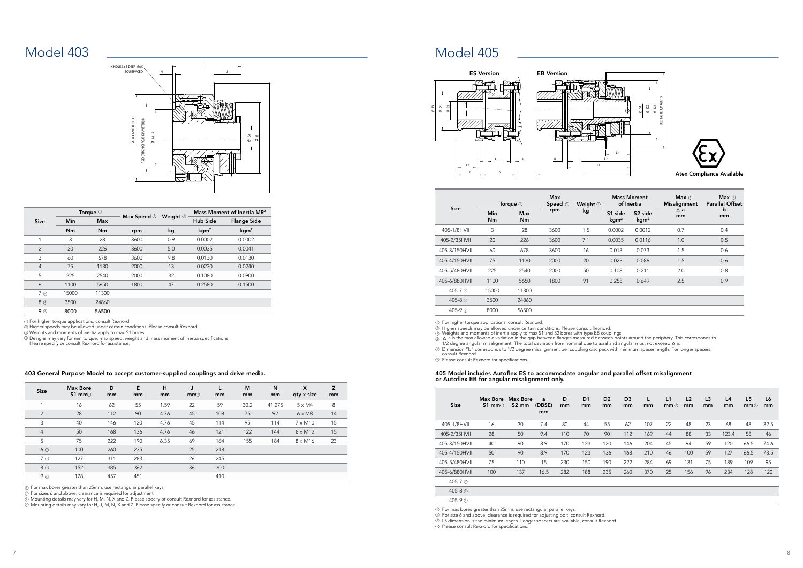## Model 403

|                |                                                                                                                    |                     | PCD (PITCH CIRCLE DIAMETER) N<br>(DIAMETER)<br>Ľ<br>Σ<br>$\infty$<br>Ø                                                                                                              |                     |                                        | 57<br>ш<br>Ø<br>Ø  |  |  |  |
|----------------|--------------------------------------------------------------------------------------------------------------------|---------------------|-------------------------------------------------------------------------------------------------------------------------------------------------------------------------------------|---------------------|----------------------------------------|--------------------|--|--|--|
|                |                                                                                                                    | Torque <sup>1</sup> |                                                                                                                                                                                     |                     | Mass Moment of Inertia MR <sup>2</sup> |                    |  |  |  |
| <b>Size</b>    | Min                                                                                                                | Max                 | Max Speed 2                                                                                                                                                                         | Weight <sup>1</sup> | <b>Hub Side</b>                        | <b>Flange Side</b> |  |  |  |
|                | Nm                                                                                                                 | Nm                  | rpm                                                                                                                                                                                 | kg                  | kgm <sup>2</sup>                       | kgm <sup>2</sup>   |  |  |  |
| 1              | 3                                                                                                                  | 28                  | 3600                                                                                                                                                                                | 0.9                 | 0.0002                                 | 0.0002             |  |  |  |
| $\overline{2}$ | 20                                                                                                                 | 226                 | 3600                                                                                                                                                                                | 5.0                 | 0.0035                                 | 0.0041             |  |  |  |
| 3              | 60                                                                                                                 | 678                 | 3600                                                                                                                                                                                | 9.8                 | 0.0130                                 | 0.0130             |  |  |  |
| $\overline{4}$ | 75                                                                                                                 | 1130                | 2000                                                                                                                                                                                | 13                  | 0.0230                                 | 0.0240             |  |  |  |
| 5              | 225                                                                                                                | 2540                | 2000                                                                                                                                                                                | 32                  | 0.1080                                 | 0.0900             |  |  |  |
| 6              | 1100                                                                                                               | 5650                | 1800                                                                                                                                                                                | 47                  | 0.2580                                 | 0.1500             |  |  |  |
| 7 <sup>a</sup> | 15000                                                                                                              | 11300               |                                                                                                                                                                                     |                     |                                        |                    |  |  |  |
| 8 <sup>4</sup> | 3500                                                                                                               | 24860               |                                                                                                                                                                                     |                     |                                        |                    |  |  |  |
| $9$ $\circ$    | 8000                                                                                                               | 56500               |                                                                                                                                                                                     |                     |                                        |                    |  |  |  |
|                | <b>1</b> For higher torque applications, consult Rexnord.<br>Weights and moments of inertia apply to max S1 bores. |                     | 2 Higher speeds may be allowed under certain conditions. Please consult Rexnord.<br>4 Designs may vary for min torque, max speed, weight and mass moment of inertia specifications. |                     |                                        |                    |  |  |  |

| <b>Size</b>    | <b>Max Bore</b><br>$51 \text{ mm}$ | D<br>mm | E<br>mm | Н<br>mm | J<br>mm <sup>2</sup> | mm  | M<br>mm | N<br>mm | X<br>qty x size | Z<br>mm |
|----------------|------------------------------------|---------|---------|---------|----------------------|-----|---------|---------|-----------------|---------|
|                | 16                                 | 62      | 55      | 1.59    | 22                   | 59  | 30.2    | 41.275  | $5 \times M4$   | 8       |
| 2              | 28                                 | 112     | 90      | 4.76    | 45                   | 108 | 75      | 92      | $6 \times M8$   | 14      |
| 3              | 40                                 | 146     | 120     | 4.76    | 45                   | 114 | 95      | 114     | $7 \times M10$  | 15      |
| $\overline{4}$ | 50                                 | 168     | 136     | 4.76    | 46                   | 121 | 122     | 144     | $8 \times M12$  | 15      |
| 5              | 75                                 | 222     | 190     | 6.35    | 69                   | 164 | 155     | 184     | $8 \times M16$  | 23      |
| 6 ③            | 100                                | 260     | 235     |         | 25                   | 218 |         |         |                 |         |
| 7 <sup>3</sup> | 127                                | 311     | 283     |         | 26                   | 245 |         |         |                 |         |
| $8$ $\circ$    | 152                                | 385     | 362     |         | 36                   | 300 |         |         |                 |         |
| 9 <sup>a</sup> | 178                                | 457     | 451     |         |                      | 410 |         |         |                 |         |

 $\odot$  For max bores greater than 25mm, use rectangular parallel keys.

 Mounting details may vary for H, M, N, X and Z. Please specify or consult Rexnord for assistance. Mounting details may vary for H, J, M, N, X and Z. Please specify or consult Rexnord for assistance.

 For sizes 6 and above, clearance is required for adjustment. 2



4



## Model 405

Higher speeds may be allowed under certain conditions. Please consult Rexnord.<br>Weights and moments of inertia apply to max \$1 and \$2 bores with type EB couplings.<br>∆ a is the max allowable variation in the gap between flan 3

 $\mathfrak g$   $\Delta$  a is the max allowable variation in the gap between flanges measured between points around the periphery.<br>∆ 1/2 degree angular misalignment. The total deviation from nominal due to axial and angular must not

 $\mathfrak v$  For max bores greater than 25mm, use rectangular parallel keys.<br>D For size 6 and above, clearance is required for adjusting bolt, consult Rexnord.  $^{\rm 3)}$  L5 dimension is the minimum length. Longer spacers are available, consult Rexnord. 2

 $\mathfrak D$  Please consult Rexnord for specifications.

For higher torque applications, consult Rexnord.

| <b>Size</b>        | <b>Max Bore</b><br>$$1 \text{ mm}$ | Max Bore<br>S <sub>2</sub> mm | a<br>(DBSE)<br>mm | D<br>mm | D <sub>1</sub><br>mm | D <sub>2</sub><br>mm | D <sub>3</sub><br>mm | L<br>mm | L1<br>mm@ | L <sub>2</sub><br>mm | L3<br>mm | L4<br>mm | L <sub>5</sub><br>mm | L6<br>mm |
|--------------------|------------------------------------|-------------------------------|-------------------|---------|----------------------|----------------------|----------------------|---------|-----------|----------------------|----------|----------|----------------------|----------|
| 405-1/8HVII        | 16                                 | 30                            | 7.4               | 80      | 44                   | 55                   | 62                   | 107     | 22        | 48                   | 23       | 68       | 48                   | 32.5     |
| 405-2/35HVII       | 28                                 | 50                            | 9.4               | 110     | 70                   | 90                   | 112                  | 169     | 44        | 88                   | 33       | 123.4    | 58                   | 46       |
| 405-3/150HVII      | 40                                 | 90                            | 8.9               | 170     | 123                  | 120                  | 146                  | 204     | 45        | 94                   | 59       | 120      | 66.5                 | 74.6     |
| 405-4/150HVII      | 50                                 | 90                            | 8.9               | 170     | 123                  | 136                  | 168                  | 210     | 46        | 100                  | 59       | 127      | 66.5                 | 73.5     |
| 405-5/480HVII      | 75                                 | 110                           | 15                | 230     | 150                  | 190                  | 222                  | 284     | 69        | 131                  | 75       | 189      | 109                  | 95       |
| 405-6/880HVII      | 100                                | 137                           | 16.5              | 282     | 188                  | 235                  | 260                  | 370     | 25        | 156                  | 96       | 234      | 128                  | 120      |
| 405-7 $\circ$      |                                    |                               |                   |         |                      |                      |                      |         |           |                      |          |          |                      |          |
| 405-8 4            |                                    |                               |                   |         |                      |                      |                      |         |           |                      |          |          |                      |          |
| 405-9 <sup>4</sup> |                                    |                               |                   |         |                      |                      |                      |         |           |                      |          |          |                      |          |

|               |           | Torque $\odot$   | <b>Max</b><br>Speed $\circledcirc$ | <b>Weight</b> <sup>③</sup> |                             | <b>Mass Moment</b><br>of Inertia        | Max $\circledcirc$<br><b>Misalignment</b> | $Max$ $\circledcirc$<br><b>Parallel Offset</b> |  |
|---------------|-----------|------------------|------------------------------------|----------------------------|-----------------------------|-----------------------------------------|-------------------------------------------|------------------------------------------------|--|
| <b>Size</b>   | Min<br>Nm | <b>Max</b><br>Nm | rpm                                | kg                         | S1 side<br>kgm <sup>2</sup> | S <sub>2</sub> side<br>kgm <sup>2</sup> | $\triangle$ a<br>mm                       | b<br>mm                                        |  |
| 405-1/8HVII   | 3         | 28               | 3600                               | 1.5                        | 0.0002                      | 0.0012                                  | 0.7                                       | 0.4                                            |  |
| 405-2/35HVII  | 20        | 226              | 3600                               | 7.1                        | 0.0035                      | 0.0116                                  | 1.0                                       | 0.5                                            |  |
| 405-3/150HVII | 60        | 678              | 3600                               | 16                         | 0.013                       | 0.073                                   | 1.5                                       | 0.6                                            |  |
| 405-4/150HVII | 75        | 1130             | 2000                               | 20                         | 0.023                       | 0.086                                   | 1.5                                       | 0.6                                            |  |
| 405-5/480HVII | 225       | 2540             | 2000                               | 50                         | 0.108                       | 0.211                                   | 2.0                                       | 0.8                                            |  |
| 405-6/880HVII | 1100      | 5650             | 1800                               | 91                         | 0.258                       | 0.649                                   | 2.5                                       | 0.9                                            |  |
| 405-7 ⓒ       | 15000     | 11300            |                                    |                            |                             |                                         |                                           |                                                |  |
| 405-8 $\circ$ | 3500      | 24860            |                                    |                            |                             |                                         |                                           |                                                |  |
| 405-9 ⓒ       | 8000      | 56500            |                                    |                            |                             |                                         |                                           |                                                |  |

405 Model includes Autoflex ES to accommodate angular and parallel offset misalignment or Autoflex EB for angular misalignment only.

Dimension "b" corresponds to 1/2 degree misalignment per coupling disc pack with minimum spacer length. For longer spacers, consult Rexnord. 5

For max bores greater than 25mm, use rectangular parallel keys.

Please consult Rexnord for specifications. 6

2



Atex Compliance Available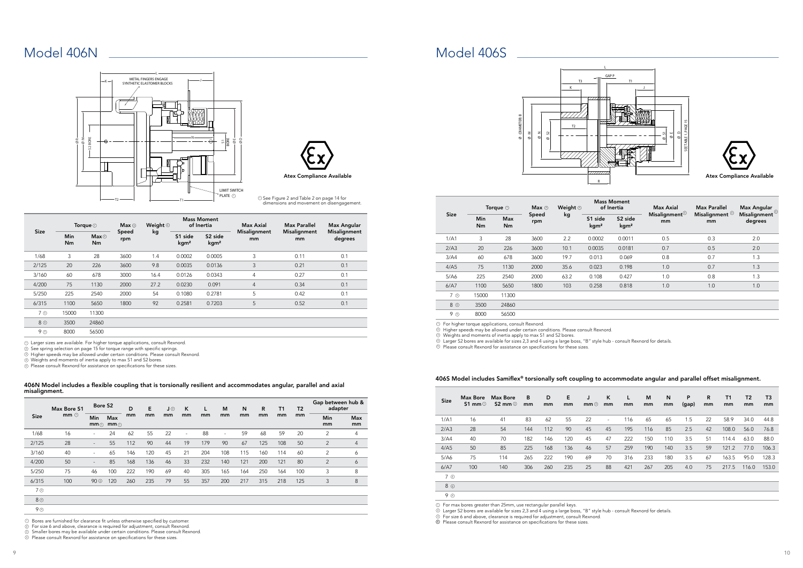## Model 406N

Size Max Bore S1 mm  $@$ Bore S2 D mm E mm J 2 mm K mm L mm M mm N mm R mm T1 mm T2 mm Gap between hub & adapter Min Max mm<sub>①</sub> mm⊕ Min mm Max mm 1/68 16 - 24 62 55 22 - 88 - 59 68 59 20 2 4 2/125 28 - 55 112 90 44 19 179 90 67 125 108 50 2 4 3/160 40 - 65 146 120 45 21 204 108 115 160 114 60 2 6 4/200 50 - 85 168 136 46 33 232 140 121 200 121 80 2 6 5/250 75 46 100 222 190 69 40 305 165 164 250 164 100 3 8 6/315 100 90 120 260 235 79 55 357 200 217 315 218 125 3 8 3 7 4 8 4

9 4

 $\mathfrak D$  For size 6 and above, clearance is required for adjustment, consult Rexnord.

**3** Smaller bores may be available under certain conditions. Please consult Rexnord.

 $\mathfrak D$  Please consult Rexnord for assistance on specifications for these sizes.

Larger sizes are available. For higher torque applications, consult Rexnord.

See spring selection on page 15 for torque range with specific springs. 2

 $\mathbb D$  Higher speeds may be allowed under certain conditions. Please consult Rexnord.

Weights and moments of inertia apply to max S1 and S2 bores. 4

Please consult Rexnord for assistance on specifications for these sizes. 5



 ${\mathbb D}$  See Figure 2 and Table 2 on page 14 for dimensions and movement on disengagement.

406N Model includes a flexible coupling that is torsionally resilient and accommodates angular, parallel and axial misalignment.

 $D$  Bores are furnished for clearance fit unless otherwise specified by customer.

|                |                  | Torque $\odot$         | Max@         | Weight $@$ |                             | <b>Mass Moment</b><br>of Inertia        | Max Axial                 | <b>Max Parallel</b>       | Max Angular             |
|----------------|------------------|------------------------|--------------|------------|-----------------------------|-----------------------------------------|---------------------------|---------------------------|-------------------------|
| <b>Size</b>    | <b>Min</b><br>Nm | Max@<br>N <sub>m</sub> | Speed<br>rpm | kg         | S1 side<br>kgm <sup>2</sup> | S <sub>2</sub> side<br>kgm <sup>2</sup> | <b>Misalignment</b><br>mm | <b>Misalignment</b><br>mm | Misalignment<br>degrees |
| 1/68           | 3                | 28                     | 3600         | 1.4        | 0.0002                      | 0.0005                                  | 3                         | 0.11                      | 0.1                     |
| 2/125          | 20               | 226                    | 3600         | 9.8        | 0.0035                      | 0.0136                                  | 3                         | 0.21                      | 0.1                     |
| 3/160          | 60               | 678                    | 3000         | 16.4       | 0.0126                      | 0.0343                                  | $\overline{4}$            | 0.27                      | 0.1                     |
| 4/200          | 75               | 1130                   | 2000         | 27.2       | 0.0230                      | 0.091                                   | $\overline{4}$            | 0.34                      | 0.1                     |
| 5/250          | 225              | 2540                   | 2000         | 54         | 0.1080                      | 0.2781                                  | 5                         | 0.42                      | 0.1                     |
| 6/315          | 1100             | 5650                   | 1800         | 92         | 0.2581                      | 0.7203                                  | 5                         | 0.52                      | 0.1                     |
| 7 <sub>©</sub> | 15000            | 11300                  |              |            |                             |                                         |                           |                           |                         |
| 8 <sup>o</sup> | 3500             | 24860                  |              |            |                             |                                         |                           |                           |                         |
| 9 <sub>©</sub> | 8000             | 56500                  |              |            |                             |                                         |                           |                           |                         |

Model 406S

 $\mathfrak D$  Higher speeds may be allowed under certain conditions. Please consult Rexnord.

|                |                         | Torque $\odot$ | Max $\odot$  | Weight <sup>3</sup> |                             | <b>Mass Moment</b><br>of Inertia        | Max Axial                         | <b>Max Parallel</b>             | Max Angular<br>$\mathsf{Misalignment}^{\textcircled{\tiny{\mathbb{Q}}}}$ |  |
|----------------|-------------------------|----------------|--------------|---------------------|-----------------------------|-----------------------------------------|-----------------------------------|---------------------------------|--------------------------------------------------------------------------|--|
| <b>Size</b>    | <b>Min</b><br><b>Nm</b> | Max<br>Nm      | Speed<br>rpm | kg                  | S1 side<br>kgm <sup>2</sup> | S <sub>2</sub> side<br>kgm <sup>2</sup> | Misalignment $\mathfrak{g}$<br>mm | Misalignment <sup>4</sup><br>mm | degrees                                                                  |  |
| 1/A1           | 3                       | 28             | 3600         | 2.2                 | 0.0002                      | 0.0011                                  | 0.5                               | 0.3                             | 2.0                                                                      |  |
| 2/A3           | 20                      | 226            | 3600         | 10.1                | 0.0035                      | 0.0181                                  | 0.7                               | 0.5                             | 2.0                                                                      |  |
| 3/A4           | 60                      | 678            | 3600         | 19.7                | 0.013                       | 0.069                                   | 0.8                               | 0.7                             | 1.3                                                                      |  |
| 4/A5           | 75                      | 1130           | 2000         | 35.6                | 0.023                       | 0.198                                   | 1.0                               | 0.7                             | 1.3                                                                      |  |
| 5/A6           | 225                     | 2540           | 2000         | 63.2                | 0.108                       | 0.427                                   | 1.0                               | 0.8                             | 1.3                                                                      |  |
| 6/A7           | 1100                    | 5650           | 1800         | 103                 | 0.258                       | 0.818                                   | 1.0                               | 1.0                             | 1.0                                                                      |  |
| 7 <sup>©</sup> | 15000                   | 11300          |              |                     |                             |                                         |                                   |                                 |                                                                          |  |
| 8 <sup>©</sup> | 3500                    | 24860          |              |                     |                             |                                         |                                   |                                 |                                                                          |  |
| 9 <sub>©</sub> | 8000                    | 56500          |              |                     |                             |                                         |                                   |                                 |                                                                          |  |

| <b>Size</b>    | Max Bore<br>S1 mm $\odot$ | <b>Max Bore</b><br>S2 mm $@$ | B<br>mm | D<br>mm | Е<br>mm | J<br>mm | K<br>mm                  | L<br>mm | M<br>mm | N<br>mm | P<br>(gap) | R<br>mm | <b>T1</b><br>mm | T <sub>2</sub><br>mm | T <sub>3</sub><br>mm |  |
|----------------|---------------------------|------------------------------|---------|---------|---------|---------|--------------------------|---------|---------|---------|------------|---------|-----------------|----------------------|----------------------|--|
| 1/A1           | 16                        | 41                           | 83      | 62      | 55      | 22      | $\overline{\phantom{a}}$ | 116     | 65      | 65      | 1.5        | 22      | 58.9            | 34.0                 | 44.8                 |  |
| 2/A3           | 28                        | 54                           | 144     | 112     | 90      | 45      | 45                       | 195     | 116     | 85      | 2.5        | 42      | 108.0           | 56.0                 | 76.8                 |  |
| 3/A4           | 40                        | 70                           | 182     | 146     | 120     | 45      | 47                       | 222     | 150     | 110     | 3.5        | 51      | 114.4           | 63.0                 | 88.0                 |  |
| 4/A5           | 50                        | 85                           | 225     | 168     | 136     | 46      | 57                       | 259     | 190     | 140     | 3.5        | 59      | 121.2           | 77.0                 | 106.3                |  |
| 5/A6           | 75                        | 114                          | 265     | 222     | 190     | 69      | 70                       | 316     | 233     | 180     | 3.5        | 67      | 163.5           | 95.0                 | 128.3                |  |
| 6/A7           | 100                       | 140                          | 306     | 260     | 235     | 25      | 88                       | 421     | 267     | 205     | 4.0        | 75      | 217.5           | 116.0                | 153.0                |  |
| 7 ①            |                           |                              |         |         |         |         |                          |         |         |         |            |         |                 |                      |                      |  |
| 8 4            |                           |                              |         |         |         |         |                          |         |         |         |            |         |                 |                      |                      |  |
| 9 <sup>a</sup> |                           |                              |         |         |         |         |                          |         |         |         |            |         |                 |                      |                      |  |

 ${\mathbb D}$  For max bores greater than 25mm, use rectangular parallel keys.

 $\mathbb D$  Larger S2 bores are available for sizes 2,3 and 4 using a large boss, "B" style hub - consult Rexnord for details.

 $\mathbb D$  For size 6 and above, clearance is required for adjustment, consult Rexnord.

 $\mathfrak D$  Please consult Rexnord for assistance on specifications for these sizes.

For higher torque applications, consult Rexnord. 1

Weights and moments of inertia apply to max S1 and S2 bores. 4

Larger S2 bores are available for sizes 2,3 and 4 using a large boss, "B" style hub - consult Rexnord for details. Please consult Rexnord for assistance on specifications for these sizes. 5

406S Model includes Samiflex® torsionally soft coupling to ad

Ø M Ø (DIAMETER) B Ø N K T2 GAP P L T3 Ø S2 R



| ccommodate angular and parallel offset misalignment. |  |
|------------------------------------------------------|--|
|------------------------------------------------------|--|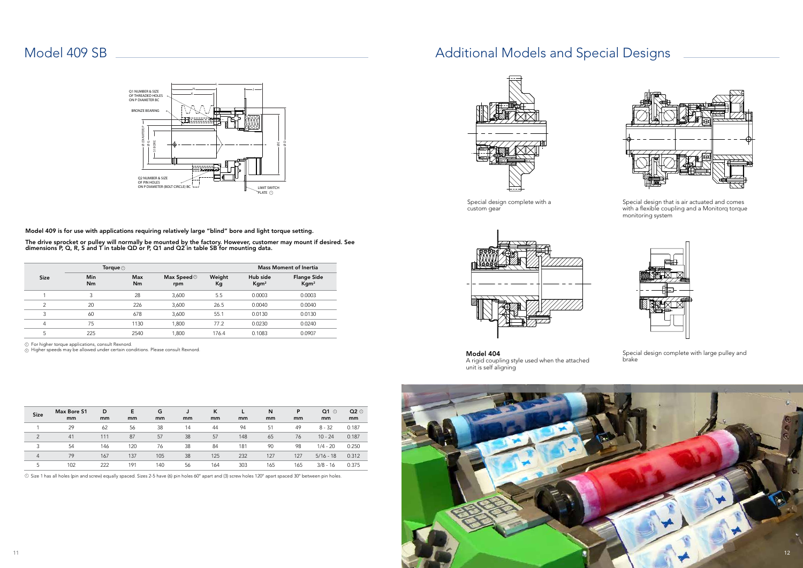

| <b>Size</b>    | Max Bore S1<br>mm | D<br>mm | E<br>mm | G<br>mm | mm | к<br>mm | mm  | N<br>mm | P<br>mm | $Q1$ $\odot$<br>mm | $Q2$ $\odot$<br>mm |
|----------------|-------------------|---------|---------|---------|----|---------|-----|---------|---------|--------------------|--------------------|
|                | 29                | 62      | 56      | 38      | 14 | 44      | 94  | 51      | 49      | $8 - 32$           | 0.187              |
| $\overline{2}$ | 41                | 111     | 87      | 57      | 38 | 57      | 148 | 65      | 76      | $10 - 24$          | 0.187              |
| 3              | 54                | 146     | 120     | 76      | 38 | 84      | 181 | 90      | 98      | $1/4 - 20$         | 0.250              |
| $\overline{4}$ | 79                | 167     | 137     | 105     | 38 | 125     | 232 | 127     | 127     | $5/16 - 18$        | 0.312              |
| 5              | 102               | 222     | 191     | 140     | 56 | 164     | 303 | 165     | 165     | $3/8 - 16$         | 0.375              |

## Model 409 SB <u>2000 Models and Special Designs</u>

|                | Model 409 is for use with applications requiring relatively large "blind" bore and light torque setting.                                                                                               |                                  | Ø (DIAMTER) P<br>$\varnothing$ G<br>OF PIN HOLES | BORE<br>57<br>Q2 NUMBER & SIZE<br>ON P DIAMETER (BOLT CIRCLE) BC |                                       |              |         | ØΕ<br><b>LIMIT SWITCH</b><br>PLATE $\odot$ | $\circ$ |                                        |  |
|----------------|--------------------------------------------------------------------------------------------------------------------------------------------------------------------------------------------------------|----------------------------------|--------------------------------------------------|------------------------------------------------------------------|---------------------------------------|--------------|---------|--------------------------------------------|---------|----------------------------------------|--|
|                | The drive sprocket or pulley will normally be mounted by the factory. However, customer may mount if desired<br>dimensions P, Q, R, S and T in table QD or P, Q1 and Q2 in table SB for mounting data. |                                  |                                                  |                                                                  |                                       |              |         | <b>Mass Moment of Inertia</b>              |         |                                        |  |
| <b>Size</b>    |                                                                                                                                                                                                        | Torque <sup>1</sup><br>Min<br>Nm |                                                  |                                                                  | Max Speed $^\circled{\otimes}$<br>rpm | Weight<br>Kg |         | Hub side<br>Kgm <sup>2</sup>               |         | <b>Flange Side</b><br>Kgm <sup>2</sup> |  |
| 1              | 3                                                                                                                                                                                                      |                                  | 28                                               |                                                                  | 3,600                                 | 5.5          |         | 0.0003                                     |         | 0.0003                                 |  |
| 2              | 20                                                                                                                                                                                                     |                                  | 226                                              |                                                                  | 3,600                                 | 26.5         |         | 0.0040                                     |         | 0.0040                                 |  |
| 3              | 60                                                                                                                                                                                                     |                                  | 678                                              |                                                                  | 3,600                                 | 55.1         |         | 0.0130                                     | 0.0130  |                                        |  |
| 4              | 75                                                                                                                                                                                                     |                                  | 1130                                             |                                                                  | 1,800                                 | 77.2         |         | 0.0230                                     |         | 0.0240                                 |  |
| 5              | 225                                                                                                                                                                                                    |                                  | 2540                                             |                                                                  | 1,800                                 | 176.4        |         | 0.1083                                     | 0.0907  |                                        |  |
|                | 2 Higher speeds may be allowed under certain conditions. Please consult Rexnord.                                                                                                                       |                                  |                                                  |                                                                  |                                       |              |         |                                            |         |                                        |  |
|                |                                                                                                                                                                                                        |                                  |                                                  |                                                                  |                                       |              |         |                                            |         |                                        |  |
| <b>Size</b>    | Max Bore S1<br>mm                                                                                                                                                                                      | D<br>mm                          | E<br>mm                                          | G<br>mm                                                          | J<br>mm                               | K<br>mm      | L<br>mm | N<br>mm                                    | P<br>mm | mm                                     |  |
| 1              | 29                                                                                                                                                                                                     | 62                               | 56                                               | 38                                                               | 14                                    | 44           | 94      | 51                                         | 49      | $Q1$ $\odot$<br>$8 - 32$               |  |
| $\overline{2}$ | 41                                                                                                                                                                                                     | 111                              | 87                                               | 57                                                               | 38                                    | 57           | 148     | 65                                         | 76      | $10 - 24$                              |  |
| 3              | 54                                                                                                                                                                                                     | 146                              | 120                                              | 76                                                               | 38                                    | 84           | 181     | 90                                         | 98      |                                        |  |
| $\overline{4}$ | 79                                                                                                                                                                                                     | 167                              | 137                                              | 105                                                              | 38                                    | 125          | 232     | 127                                        | 127     | $1/4 - 20$<br>5/16 - 18                |  |



Model 404 A rigid coupling style used when the attached unit is self aligning

Special design complete with large pulley and brake

Special design that is air actuated and comes with a flexible coupling and a Monitorq torque monitoring system





Special design complete with a custom gear



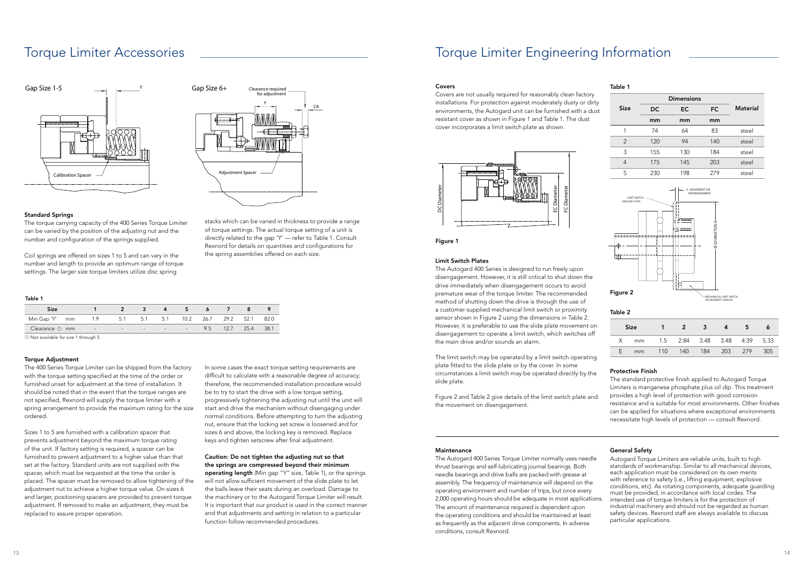## Torque Limiter Engineering Information

## Covers

Covers are not usually required for reasonably clean factory installations. For protection against moderately dusty or dirty environments, the Autogard unit can be furnished with a dust resistant cover as shown in Figure 1 and Table 1. The dust cover incorporates a limit switch plate as shown.

## Limit Switch Plates

The Autogard 400 Series is designed to run freely upon disengagement. However, it is still critical to shut down the drive immediately when disengagement occurs to avoid premature wear of the torque limiter. The recommended method of shutting down the drive is through the use of a customer supplied mechanical limit switch or proximity sensor shown in Figure 2 using the dimensions in Table 2. However, it is preferable to use the slide plate movement on disengagement to operate a limit switch, which switches off the main drive and/or sounds an alarm.

The limit switch may be operated by a limit switch operating plate fitted to the slide plate or by the cover. In some circumstances a limit switch may be operated directly by the slide plate.

Figure 2 and Table 2 give details of the limit switch plate and the movement on disengagement.

## Protective Finish

The standard protective finish applied to Autogard Torque Limiters is manganese phosphate plus oil dip. This treatment provides a high level of protection with good corrosion resistance and is suitable for most environments. Other finishes can be applied for situations where exceptional environments necessitate high levels of protection — consult Rexnord.

### Maintenance

The Autogard 400 Series Torque Limiter normally uses needle thrust bearings and self-lubricating journal bearings. Both needle bearings and drive balls are packed with grease at assembly. The frequency of maintenance will depend on the operating environment and number of trips, but once every 2,000 operating hours should be adequate in most applications. The amount of maintenance required is dependent upon the operating conditions and should be maintained at least as frequently as the adjacent drive components. In adverse conditions, consult Rexnord. Autogard Torque Limiters are reliable units, built to high standards of workmanship. Similar to all mechanical devices, each application must be considered on its own merits with reference to safety (i.e., lifting equipment, explosive conditions, etc). As rotating components, adequate guarding must be provided, in accordance with local codes. The intended use of torque limiters is for the protection of industrial machinery and should not be regarded as human safety devices. Rexnord staff are always available to discuss particular applications.

## General Safety



Figure 1

In some cases the exact torque setting requirements are difficult to calculate with a reasonable degree of accuracy; therefore, the recommended installation procedure would be to try to start the drive with a low torque setting, progressively tightening the adjusting nut until the unit will start and drive the mechanism without disengaging under normal conditions. Before attempting to turn the adjusting nut, ensure that the locking set screw is loosened and for sizes 6 and above, the locking key is removed. Replace keys and tighten setscrew after final adjustment.

|               | <b>Dimensions</b> |           |           |                 |
|---------------|-------------------|-----------|-----------|-----------------|
| <b>Size</b>   | <b>DC</b>         | <b>EC</b> | <b>FC</b> | <b>Material</b> |
|               | mm                | mm        | mm        |                 |
| 1             | 74                | 64        | 83        | steel           |
| $\mathcal{P}$ | 120               | 94        | 140       | steel           |
| 3             | 155               | 130       | 184       | steel           |
| 4             | 175               | 145       | 203       | steel           |
| 5             | 230               | 198       | 279       | steel           |

|    | <b>Size</b>                       | $\mathbf{z}$        |  | ь |       |
|----|-----------------------------------|---------------------|--|---|-------|
|    | X mm 1.5 2.84 3.48 3.48 4.39 5.33 |                     |  |   |       |
| F. | mm                                | 110 140 184 203 279 |  |   | - 305 |

## Table 1

## Table 2



## Torque Limiter Accessories

### Standard Springs

The torque carrying capacity of the 400 Series Torque Limiter can be varied by the position of the adjusting nut and the number and configuration of the springs supplied.

Coil springs are offered on sizes 1 to 5 and can vary in the number and length to provide an optimum range of torque settings. The larger size torque limiters utilize disc spring

stacks which can be varied in thickness to provide a range of torque settings. The actual torque setting of a unit is directly related to the gap 'Y' — refer to Table 1. Consult Rexnord for details on quantities and configurations for the spring assemblies offered on each size.

| <b>Size</b>          |            |     |        |               |                            | -5- |     |      |      |       |
|----------------------|------------|-----|--------|---------------|----------------------------|-----|-----|------|------|-------|
| Min Gap 'Y' mm       | 1.9        | 5.1 | 5.1    |               |                            |     |     |      |      | -82.0 |
| Clearance $\odot$ mm | $\sim$ $-$ |     | $\sim$ | $\sim$ $\sim$ | the company's state of the |     | 9.5 | 12.7 | 25.4 | -38.1 |

 $\overline{\textcircled{\small{}}\textcircled{\small{}}\textcircled{\small{}}\text{Not available for size 1 through 5.}}$ 

### **Torque Adiustment**

The 400 Series Torque Limiter can be shipped from the factory with the torque setting specified at the time of the order or furnished unset for adjustment at the time of installation. It should be noted that in the event that the torque ranges are not specified, Rexnord will supply the torque limiter with a spring arrangement to provide the maximum rating for the size ordered.

Sizes 1 to 5 are furnished with a calibration spacer that prevents adjustment beyond the maximum torque rating of the unit. If factory setting is required, a spacer can be furnished to prevent adjustment to a higher value than that set at the factory. Standard units are not supplied with the spacer, which must be requested at the time the order is placed. The spacer must be removed to allow tightening of the adjustment nut to achieve a higher torque value. On sizes 6 and larger, positioning spacers are provided to prevent torque adjustment. If removed to make an adjustment, they must be replaced to assure proper operation.

Caution: Do not tighten the adjusting nut so that the springs are compressed beyond their minimum

operating length (Min gap "Y" size, Table 1), or the springs will not allow sufficient movement of the slide plate to let the balls leave their seats during an overload. Damage to the machinery or to the Autogard Torque Limiter will result. It is important that our product is used in the correct manner and that adjustments and setting in relation to a particular function follow recommended procedures.

## Table 1